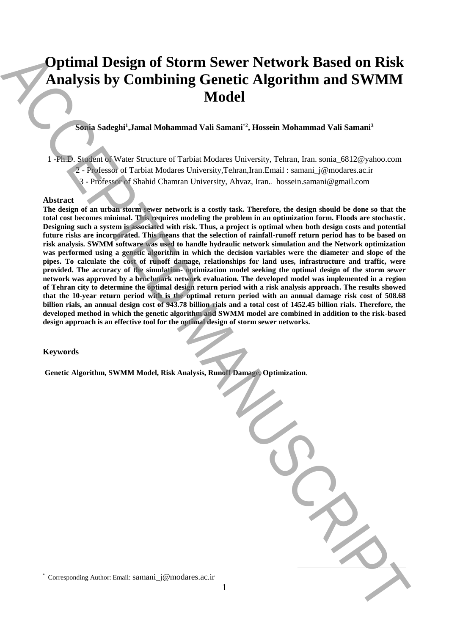# **Optimal Design of Storm Sewer Network Based on Risk Analysis by Combining Genetic Algorithm and SWMM Model**

## **Sonia Sadeghi<sup>1</sup> ,Jamal Mohammad Vali Samani\*2 , Hossein Mohammad Vali Samani<sup>3</sup>**

1 -Ph.D. Student of Water Structure of Tarbiat Modares University, Tehran, Iran. sonia\_6812@yahoo.com

- 2 Professor of Tarbiat Modares University,Tehran,Iran.Email : samani\_j@modares.ac.ir
- 3 Professor of Shahid Chamran University, Ahvaz, Iran.. hossein.samani@gmail.com

#### **Abstract**

**The design of an urban storm sewer network is a costly task. Therefore, the design should be done so that the total cost becomes minimal. This requires modeling the problem in an optimization form. Floods are stochastic. Designing such a system is associated with risk. Thus, a project is optimal when both design costs and potential future risks are incorporated. This means that the selection of rainfall-runoff return period has to be based on risk analysis. SWMM software was used to handle hydraulic network simulation and the Network optimization was performed using a genetic algorithm in which the decision variables were the diameter and slope of the pipes. To calculate the cost of runoff damage, relationships for land uses, infrastructure and traffic, were provided. The accuracy of the simulation- optimization model seeking the optimal design of the storm sewer network was approved by a benchmark network evaluation. The developed model was implemented in a region of Tehran city to determine the optimal design return period with a risk analysis approach. The results showed that the 10-year return period with is the optimal return period with an annual damage risk cost of 508.68 billion rials, an annual design cost of 943.78 billion rials and a total cost of 1452.45 billion rials. Therefore, the developed method in which the genetic algorithm and SWMM model are combined in addition to the risk-based design approach is an effective tool for the optimal design of storm sewer networks. Example 10** Design of Storm Sewer Network Based on Risk Analysis by Combining Genetic Algorithm and SWMM<br>
Model<br>  $\frac{1}{2}$ <br>  $\frac{1}{2}$ <br>  $\frac{1}{2}$ <br>  $\frac{1}{2}$ <br>  $\frac{1}{2}$ <br>  $\frac{1}{2}$ <br>  $\frac{1}{2}$ <br>  $\frac{1}{2}$ <br>  $\frac{1}{2}$ <br>  $\frac{1}{2}$ 

## **Keywords**

**Genetic Algorithm, SWMM Model, Risk Analysis, Runoff Damage, Optimization**.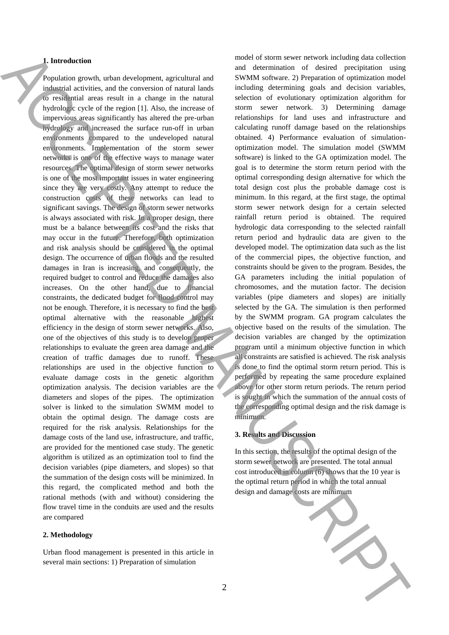#### **1. Introduction**

Population growth, urban development, agricultural and industrial activities, and the conversion of natural lands to residential areas result in a change in the natural hydrologic cycle of the region [1]. Also, the increase of impervious areas significantly has altered the pre-urban hydrology and increased the surface run-off in urban environments compared to the undeveloped natural environments. Implementation of the storm sewer networks is one of the effective ways to manage water resources. The optimal design of storm sewer networks is one of the most important issues in water engineering since they are very costly. Any attempt to reduce the construction costs of these networks can lead to significant savings. The design of storm sewer networks is always associated with risk. In a proper design, there must be a balance between its cost and the risks that may occur in the future. Therefore, both optimization and risk analysis should be considered in the optimal design. The occurrence of urban floods and the resulted damages in Iran is increasing, and consequently, the required budget to control and reduce the damages also increases. On the other hand, due to financial constraints, the dedicated budget for flood control may not be enough. Therefore, it is necessary to find the best optimal alternative with the reasonable highest efficiency in the design of storm sewer networks. Also, one of the objectives of this study is to develop proper relationships to evaluate the green area damage and the creation of traffic damages due to runoff. These relationships are used in the objective function to evaluate damage costs in the genetic algorithm optimization analysis. The decision variables are the diameters and slopes of the pipes. The optimization solver is linked to the simulation SWMM model to obtain the optimal design. The damage costs are required for the risk analysis. Relationships for the damage costs of the land use, infrastructure, and traffic, are provided for the mentioned case study. The genetic algorithm is utilized as an optimization tool to find the decision variables (pipe diameters, and slopes) so that the summation of the design costs will be minimized. In this regard, the complicated method and both the rational methods (with and without) considering the flow travel time in the conduits are used and the results are compared **Latinoidesim** and determining the costs are not the costs are not the costs are minimum ACCEPTE and the costs are minimum ACCEPTE and the costs are not the costs are not the costs are not the costs are not the costs are

#### **2. Methodology**

Urban flood management is presented in this article in several main sections: 1) Preparation of simulation

model of storm sewer network including data collection and determination of desired precipitation using SWMM software. 2) Preparation of optimization model including determining goals and decision variables, selection of evolutionary optimization algorithm for storm sewer network. 3) Determining damage relationships for land uses and infrastructure and calculating runoff damage based on the relationships obtained. 4) Performance evaluation of simulationoptimization model. The simulation model (SWMM software) is linked to the GA optimization model. The goal is to determine the storm return period with the optimal corresponding design alternative for which the total design cost plus the probable damage cost is minimum. In this regard, at the first stage, the optimal storm sewer network design for a certain selected rainfall return period is obtained. The required hydrologic data corresponding to the selected rainfall return period and hydraulic data are given to the developed model. The optimization data such as the list of the commercial pipes, the objective function, and constraints should be given to the program. Besides, the GA parameters including the initial population of chromosomes, and the mutation factor. The decision variables (pipe diameters and slopes) are initially selected by the GA. The simulation is then performed by the SWMM program. GA program calculates the objective based on the results of the simulation. The decision variables are changed by the optimization program until a minimum objective function in which all constraints are satisfied is achieved. The risk analysis is done to find the optimal storm return period. This is performed by repeating the same procedure explained above for other storm return periods. The return period is sought in which the summation of the annual costs of the corresponding optimal design and the risk damage is minimum.

## **3. Results and Discussion**

In this section, the results of the optimal design of the storm sewer network are presented. The total annual cost introduced in column (6) shows that the 10 year is the optimal return period in which the total annual